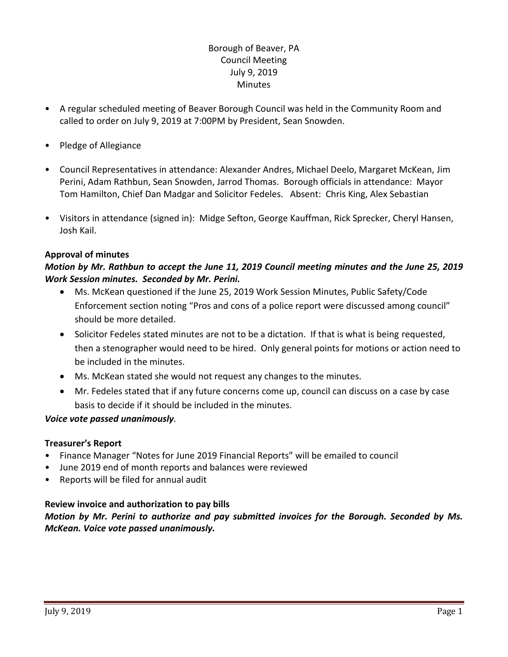# Borough of Beaver, PA Council Meeting July 9, 2019 **Minutes**

- A regular scheduled meeting of Beaver Borough Council was held in the Community Room and called to order on July 9, 2019 at 7:00PM by President, Sean Snowden.
- Pledge of Allegiance
- Council Representatives in attendance: Alexander Andres, Michael Deelo, Margaret McKean, Jim Perini, Adam Rathbun, Sean Snowden, Jarrod Thomas. Borough officials in attendance: Mayor Tom Hamilton, Chief Dan Madgar and Solicitor Fedeles. Absent: Chris King, Alex Sebastian
- Visitors in attendance (signed in): Midge Sefton, George Kauffman, Rick Sprecker, Cheryl Hansen, Josh Kail.

### **Approval of minutes**

# *Motion by Mr. Rathbun to accept the June 11, 2019 Council meeting minutes and the June 25, 2019 Work Session minutes. Seconded by Mr. Perini.*

- Ms. McKean questioned if the June 25, 2019 Work Session Minutes, Public Safety/Code Enforcement section noting "Pros and cons of a police report were discussed among council" should be more detailed.
- Solicitor Fedeles stated minutes are not to be a dictation. If that is what is being requested, then a stenographer would need to be hired. Only general points for motions or action need to be included in the minutes.
- Ms. McKean stated she would not request any changes to the minutes.
- Mr. Fedeles stated that if any future concerns come up, council can discuss on a case by case basis to decide if it should be included in the minutes.

### *Voice vote passed unanimously.*

### **Treasurer's Report**

- Finance Manager "Notes for June 2019 Financial Reports" will be emailed to council
- June 2019 end of month reports and balances were reviewed
- Reports will be filed for annual audit

### **Review invoice and authorization to pay bills**

*Motion by Mr. Perini to authorize and pay submitted invoices for the Borough. Seconded by Ms. McKean. Voice vote passed unanimously.*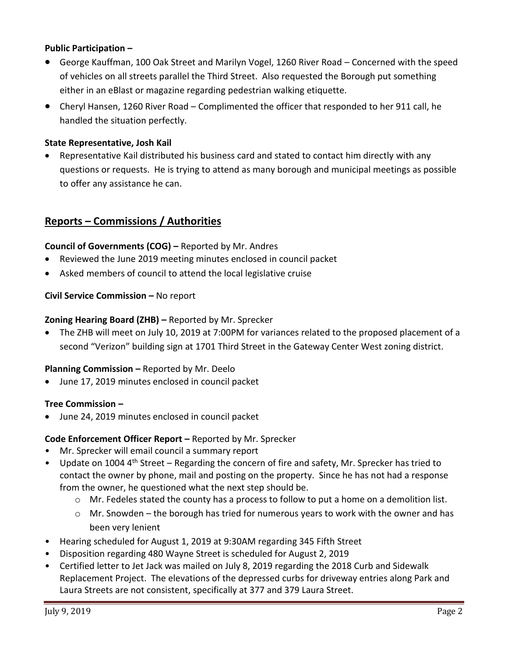### **Public Participation –**

- George Kauffman, 100 Oak Street and Marilyn Vogel, 1260 River Road Concerned with the speed of vehicles on all streets parallel the Third Street. Also requested the Borough put something either in an eBlast or magazine regarding pedestrian walking etiquette.
- Cheryl Hansen, 1260 River Road Complimented the officer that responded to her 911 call, he handled the situation perfectly.

### **State Representative, Josh Kail**

 Representative Kail distributed his business card and stated to contact him directly with any questions or requests. He is trying to attend as many borough and municipal meetings as possible to offer any assistance he can.

# **Reports – Commissions / Authorities**

### **Council of Governments (COG) –** Reported by Mr. Andres

- Reviewed the June 2019 meeting minutes enclosed in council packet
- Asked members of council to attend the local legislative cruise

### **Civil Service Commission –** No report

### **Zoning Hearing Board (ZHB) –** Reported by Mr. Sprecker

 The ZHB will meet on July 10, 2019 at 7:00PM for variances related to the proposed placement of a second "Verizon" building sign at 1701 Third Street in the Gateway Center West zoning district.

### **Planning Commission –** Reported by Mr. Deelo

June 17, 2019 minutes enclosed in council packet

### **Tree Commission –**

June 24, 2019 minutes enclosed in council packet

### **Code Enforcement Officer Report –** Reported by Mr. Sprecker

- Mr. Sprecker will email council a summary report
- Update on 1004 4<sup>th</sup> Street Regarding the concern of fire and safety, Mr. Sprecker has tried to contact the owner by phone, mail and posting on the property. Since he has not had a response from the owner, he questioned what the next step should be.
	- $\circ$  Mr. Fedeles stated the county has a process to follow to put a home on a demolition list.
	- $\circ$  Mr. Snowden the borough has tried for numerous years to work with the owner and has been very lenient
- Hearing scheduled for August 1, 2019 at 9:30AM regarding 345 Fifth Street
- Disposition regarding 480 Wayne Street is scheduled for August 2, 2019
- Certified letter to Jet Jack was mailed on July 8, 2019 regarding the 2018 Curb and Sidewalk Replacement Project. The elevations of the depressed curbs for driveway entries along Park and Laura Streets are not consistent, specifically at 377 and 379 Laura Street.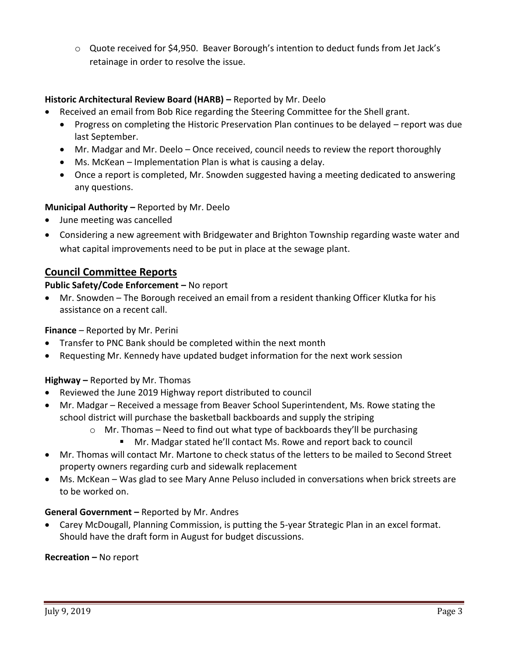o Quote received for \$4,950. Beaver Borough's intention to deduct funds from Jet Jack's retainage in order to resolve the issue.

# **Historic Architectural Review Board (HARB) –** Reported by Mr. Deelo

- Received an email from Bob Rice regarding the Steering Committee for the Shell grant.
	- Progress on completing the Historic Preservation Plan continues to be delayed report was due last September.
	- Mr. Madgar and Mr. Deelo Once received, council needs to review the report thoroughly
	- Ms. McKean Implementation Plan is what is causing a delay.
	- Once a report is completed, Mr. Snowden suggested having a meeting dedicated to answering any questions.

### **Municipal Authority –** Reported by Mr. Deelo

- June meeting was cancelled
- Considering a new agreement with Bridgewater and Brighton Township regarding waste water and what capital improvements need to be put in place at the sewage plant.

# **Council Committee Reports**

# **Public Safety/Code Enforcement –** No report

 Mr. Snowden – The Borough received an email from a resident thanking Officer Klutka for his assistance on a recent call.

### **Finance** – Reported by Mr. Perini

- Transfer to PNC Bank should be completed within the next month
- Requesting Mr. Kennedy have updated budget information for the next work session

### **Highway –** Reported by Mr. Thomas

- Reviewed the June 2019 Highway report distributed to council
- Mr. Madgar Received a message from Beaver School Superintendent, Ms. Rowe stating the school district will purchase the basketball backboards and supply the striping
	- $\circ$  Mr. Thomas Need to find out what type of backboards they'll be purchasing
		- Mr. Madgar stated he'll contact Ms. Rowe and report back to council
- Mr. Thomas will contact Mr. Martone to check status of the letters to be mailed to Second Street property owners regarding curb and sidewalk replacement
- Ms. McKean Was glad to see Mary Anne Peluso included in conversations when brick streets are to be worked on.

### **General Government –** Reported by Mr. Andres

 Carey McDougall, Planning Commission, is putting the 5-year Strategic Plan in an excel format. Should have the draft form in August for budget discussions.

### **Recreation –** No report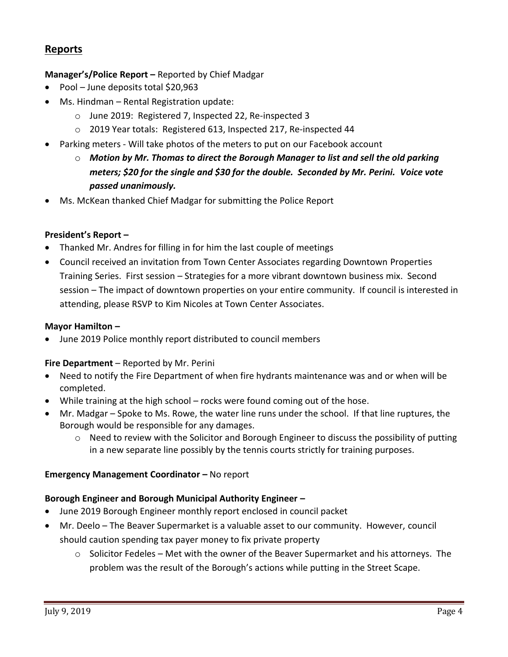# **Reports**

### **Manager's/Police Report –** Reported by Chief Madgar

- Pool June deposits total \$20,963
- Ms. Hindman Rental Registration update:
	- o June 2019: Registered 7, Inspected 22, Re-inspected 3
	- o 2019 Year totals: Registered 613, Inspected 217, Re-inspected 44
- Parking meters Will take photos of the meters to put on our Facebook account
	- o *Motion by Mr. Thomas to direct the Borough Manager to list and sell the old parking meters; \$20 for the single and \$30 for the double. Seconded by Mr. Perini. Voice vote passed unanimously.*
- Ms. McKean thanked Chief Madgar for submitting the Police Report

#### **President's Report –**

- Thanked Mr. Andres for filling in for him the last couple of meetings
- Council received an invitation from Town Center Associates regarding Downtown Properties Training Series. First session – Strategies for a more vibrant downtown business mix. Second session – The impact of downtown properties on your entire community. If council is interested in attending, please RSVP to Kim Nicoles at Town Center Associates.

#### **Mayor Hamilton –**

June 2019 Police monthly report distributed to council members

#### **Fire Department** – Reported by Mr. Perini

- Need to notify the Fire Department of when fire hydrants maintenance was and or when will be completed.
- While training at the high school rocks were found coming out of the hose.
- Mr. Madgar Spoke to Ms. Rowe, the water line runs under the school. If that line ruptures, the Borough would be responsible for any damages.
	- o Need to review with the Solicitor and Borough Engineer to discuss the possibility of putting in a new separate line possibly by the tennis courts strictly for training purposes.

### **Emergency Management Coordinator - No report**

### **Borough Engineer and Borough Municipal Authority Engineer –**

- June 2019 Borough Engineer monthly report enclosed in council packet
- Mr. Deelo The Beaver Supermarket is a valuable asset to our community. However, council should caution spending tax payer money to fix private property
	- $\circ$  Solicitor Fedeles Met with the owner of the Beaver Supermarket and his attorneys. The problem was the result of the Borough's actions while putting in the Street Scape.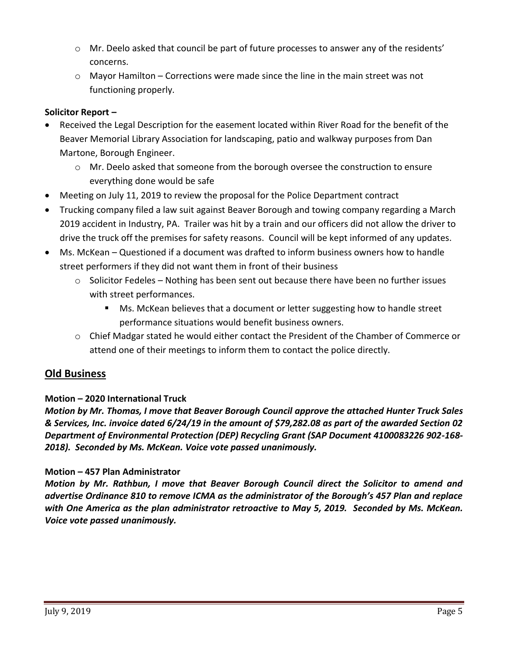- $\circ$  Mr. Deelo asked that council be part of future processes to answer any of the residents' concerns.
- $\circ$  Mayor Hamilton Corrections were made since the line in the main street was not functioning properly.

# **Solicitor Report –**

- Received the Legal Description for the easement located within River Road for the benefit of the Beaver Memorial Library Association for landscaping, patio and walkway purposes from Dan Martone, Borough Engineer.
	- $\circ$  Mr. Deelo asked that someone from the borough oversee the construction to ensure everything done would be safe
- Meeting on July 11, 2019 to review the proposal for the Police Department contract
- Trucking company filed a law suit against Beaver Borough and towing company regarding a March 2019 accident in Industry, PA. Trailer was hit by a train and our officers did not allow the driver to drive the truck off the premises for safety reasons. Council will be kept informed of any updates.
- Ms. McKean Questioned if a document was drafted to inform business owners how to handle street performers if they did not want them in front of their business
	- $\circ$  Solicitor Fedeles Nothing has been sent out because there have been no further issues with street performances.
		- Ms. McKean believes that a document or letter suggesting how to handle street performance situations would benefit business owners.
	- o Chief Madgar stated he would either contact the President of the Chamber of Commerce or attend one of their meetings to inform them to contact the police directly.

# **Old Business**

### **Motion – 2020 International Truck**

*Motion by Mr. Thomas, I move that Beaver Borough Council approve the attached Hunter Truck Sales & Services, Inc. invoice dated 6/24/19 in the amount of \$79,282.08 as part of the awarded Section 02 Department of Environmental Protection (DEP) Recycling Grant (SAP Document 4100083226 902-168- 2018). Seconded by Ms. McKean. Voice vote passed unanimously.* 

### **Motion – 457 Plan Administrator**

*Motion by Mr. Rathbun, I move that Beaver Borough Council direct the Solicitor to amend and advertise Ordinance 810 to remove ICMA as the administrator of the Borough's 457 Plan and replace with One America as the plan administrator retroactive to May 5, 2019. Seconded by Ms. McKean. Voice vote passed unanimously.*